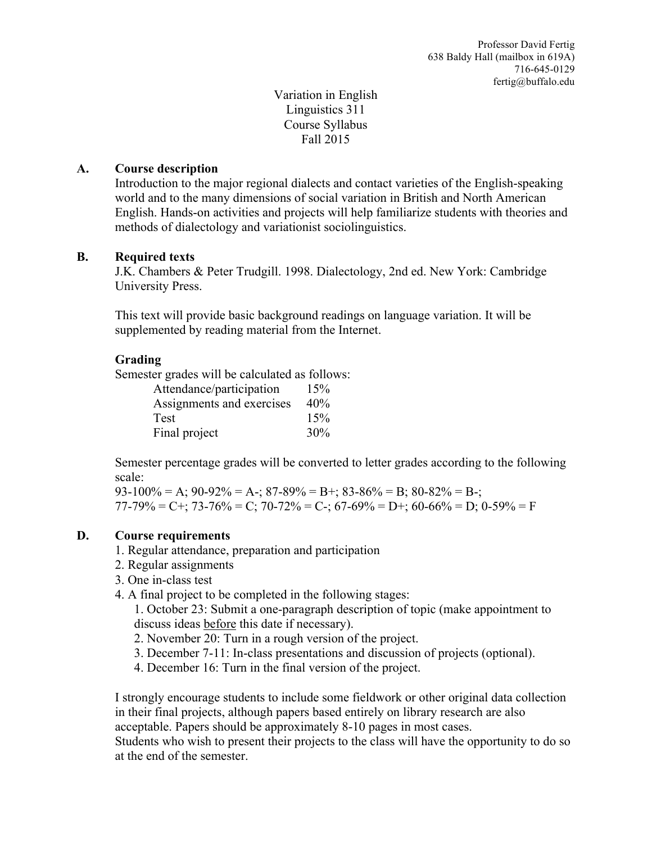Variation in English Linguistics 311 Course Syllabus Fall 2015

## **A. Course description**

Introduction to the major regional dialects and contact varieties of the English-speaking world and to the many dimensions of social variation in British and North American English. Hands-on activities and projects will help familiarize students with theories and methods of dialectology and variationist sociolinguistics.

## **B. Required texts**

J.K. Chambers & Peter Trudgill. 1998. Dialectology, 2nd ed. New York: Cambridge University Press.

This text will provide basic background readings on language variation. It will be supplemented by reading material from the Internet.

## **Grading**

Semester grades will be calculated as follows:

| Attendance/participation  | 15% |
|---------------------------|-----|
| Assignments and exercises | 40% |
| Test                      | 15% |
| Final project             | 30% |

Semester percentage grades will be converted to letter grades according to the following scale:

 $93-100\% = A$ ;  $90-92\% = A$ -;  $87-89\% = B$ +;  $83-86\% = B$ ;  $80-82\% = B$ -; 77-79% = C+; 73-76% = C; 70-72% = C-; 67-69% = D+; 60-66% = D; 0-59% = F

## **D. Course requirements**

- 1. Regular attendance, preparation and participation
- 2. Regular assignments
- 3. One in-class test
- 4. A final project to be completed in the following stages:
	- 1. October 23: Submit a one-paragraph description of topic (make appointment to discuss ideas before this date if necessary).
	- 2. November 20: Turn in a rough version of the project.
	- 3. December 7-11: In-class presentations and discussion of projects (optional).
	- 4. December 16: Turn in the final version of the project.

I strongly encourage students to include some fieldwork or other original data collection in their final projects, although papers based entirely on library research are also acceptable. Papers should be approximately 8-10 pages in most cases.

Students who wish to present their projects to the class will have the opportunity to do so at the end of the semester.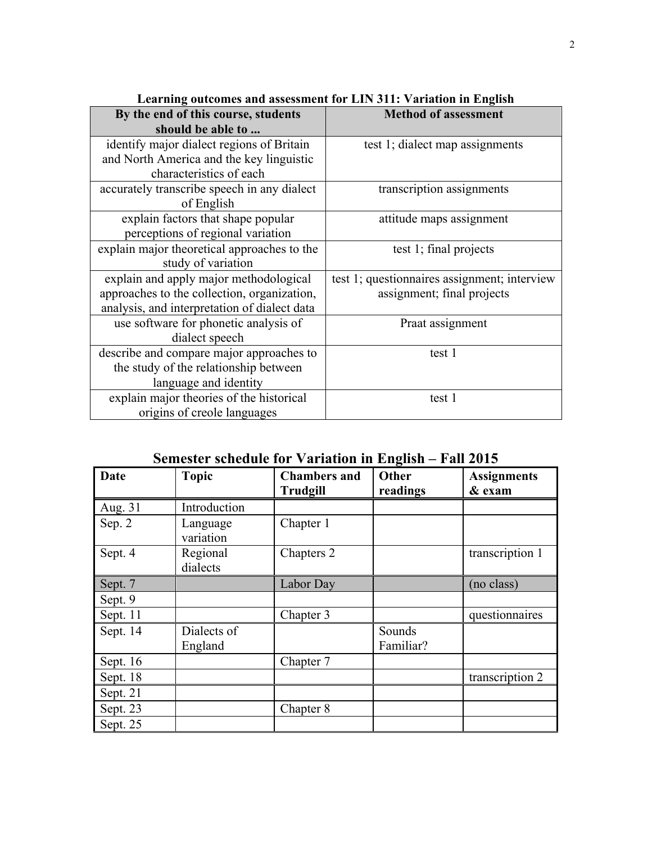| By the end of this course, students          | <b>Method of assessment</b>                  |  |
|----------------------------------------------|----------------------------------------------|--|
| should be able to                            |                                              |  |
| identify major dialect regions of Britain    | test 1; dialect map assignments              |  |
| and North America and the key linguistic     |                                              |  |
| characteristics of each                      |                                              |  |
| accurately transcribe speech in any dialect  | transcription assignments                    |  |
| of English                                   |                                              |  |
| explain factors that shape popular           | attitude maps assignment                     |  |
| perceptions of regional variation            |                                              |  |
| explain major theoretical approaches to the  | test 1; final projects                       |  |
| study of variation                           |                                              |  |
| explain and apply major methodological       | test 1; questionnaires assignment; interview |  |
| approaches to the collection, organization,  | assignment; final projects                   |  |
| analysis, and interpretation of dialect data |                                              |  |
| use software for phonetic analysis of        | Praat assignment                             |  |
| dialect speech                               |                                              |  |
| describe and compare major approaches to     | test 1                                       |  |
| the study of the relationship between        |                                              |  |
| language and identity                        |                                              |  |
| explain major theories of the historical     | test 1                                       |  |
| origins of creole languages                  |                                              |  |

**Learning outcomes and assessment for LIN 311: Variation in English**

**Semester schedule for Variation in English – Fall 2015**

| Date     | <b>Topic</b>           | <b>Chambers and</b><br><b>Trudgill</b> | Other<br>readings   | <b>Assignments</b><br>& exam |
|----------|------------------------|----------------------------------------|---------------------|------------------------------|
| Aug. 31  | Introduction           |                                        |                     |                              |
| Sep. 2   | Language<br>variation  | Chapter 1                              |                     |                              |
| Sept. 4  | Regional<br>dialects   | Chapters 2                             |                     | transcription 1              |
| Sept. 7  |                        | Labor Day                              |                     | (no class)                   |
| Sept. 9  |                        |                                        |                     |                              |
| Sept. 11 |                        | Chapter 3                              |                     | questionnaires               |
| Sept. 14 | Dialects of<br>England |                                        | Sounds<br>Familiar? |                              |
| Sept. 16 |                        | Chapter 7                              |                     |                              |
| Sept. 18 |                        |                                        |                     | transcription 2              |
| Sept. 21 |                        |                                        |                     |                              |
| Sept. 23 |                        | Chapter 8                              |                     |                              |
| Sept. 25 |                        |                                        |                     |                              |